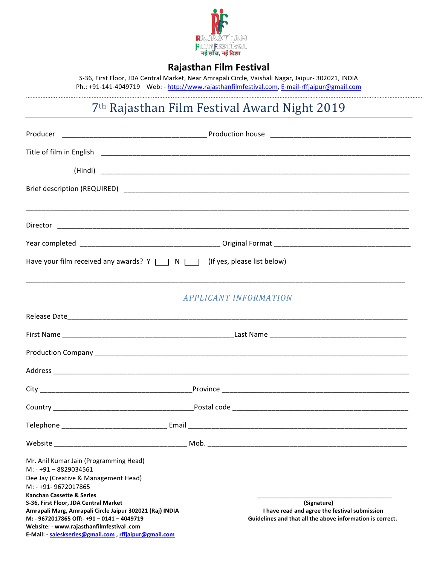

### **Rajasthan Film Festival**

S-36, First Floor, JDA Central Market, Near Amrapali Circle, Vaishali Nagar, Jaipur- 302021, INDIA Ph.: +91-141-4049719 Web: - http://www.rajasthanfilmfestival.com, E-mail-rffjaipur@gmail.com

# 7<sup>th</sup> Rajasthan Film Festival Award Night 2019

| Have your film received any awards? $Y \Box N \Box$ (If yes, please list below)                                                                                                                                                                                                                                                                                                                                               |                                                                                                                           |  |
|-------------------------------------------------------------------------------------------------------------------------------------------------------------------------------------------------------------------------------------------------------------------------------------------------------------------------------------------------------------------------------------------------------------------------------|---------------------------------------------------------------------------------------------------------------------------|--|
|                                                                                                                                                                                                                                                                                                                                                                                                                               |                                                                                                                           |  |
|                                                                                                                                                                                                                                                                                                                                                                                                                               | <b>APPLICANT INFORMATION</b>                                                                                              |  |
|                                                                                                                                                                                                                                                                                                                                                                                                                               |                                                                                                                           |  |
|                                                                                                                                                                                                                                                                                                                                                                                                                               |                                                                                                                           |  |
|                                                                                                                                                                                                                                                                                                                                                                                                                               |                                                                                                                           |  |
|                                                                                                                                                                                                                                                                                                                                                                                                                               |                                                                                                                           |  |
|                                                                                                                                                                                                                                                                                                                                                                                                                               |                                                                                                                           |  |
|                                                                                                                                                                                                                                                                                                                                                                                                                               |                                                                                                                           |  |
|                                                                                                                                                                                                                                                                                                                                                                                                                               |                                                                                                                           |  |
| Website                                                                                                                                                                                                                                                                                                                                                                                                                       | Mob.                                                                                                                      |  |
| Mr. Anil Kumar Jain (Programming Head)<br>$M: -+91 - 8829034561$<br>Dee Jay (Creative & Management Head)<br>M: - +91-9672017865<br><b>Kanchan Cassette &amp; Series</b><br>S-36, First Floor, JDA Central Market<br>Amrapali Marg, Amrapali Circle Jaipur 302021 (Raj) INDIA<br>M: - 9672017865 Off:- +91 - 0141 - 4049719<br>Website: - www.rajasthanfilmfestival .com<br>E-Mail: saleskseries@gmail.com rffiaipur@gmail.com | (Signature)<br>I have read and agree the festival submission<br>Guidelines and that all the above information is correct. |  |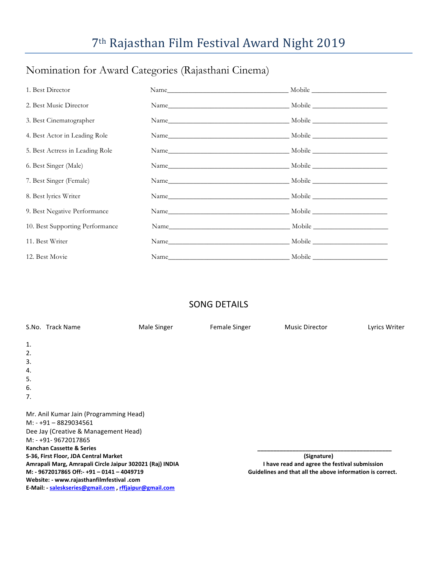# 7<sup>th</sup> Rajasthan Film Festival Award Night 2019

## Nomination for Award Categories (Rajasthani Cinema)

| 1. Best Director                |  |
|---------------------------------|--|
| 2. Best Music Director          |  |
| 3. Best Cinematographer         |  |
| 4. Best Actor in Leading Role   |  |
| 5. Best Actress in Leading Role |  |
| 6. Best Singer (Male)           |  |
| 7. Best Singer (Female)         |  |
| 8. Best lyrics Writer           |  |
| 9. Best Negative Performance    |  |
| 10. Best Supporting Performance |  |
| 11. Best Writer                 |  |
| 12. Best Movie                  |  |

## SONG DETAILS

|    | S.No. Track Name                                         | Male Singer | Female Singer | Music Director                                            | Lyrics Writer |
|----|----------------------------------------------------------|-------------|---------------|-----------------------------------------------------------|---------------|
| 1. |                                                          |             |               |                                                           |               |
| 2. |                                                          |             |               |                                                           |               |
| 3. |                                                          |             |               |                                                           |               |
| 4. |                                                          |             |               |                                                           |               |
| 5. |                                                          |             |               |                                                           |               |
| 6. |                                                          |             |               |                                                           |               |
| 7. |                                                          |             |               |                                                           |               |
|    | Mr. Anil Kumar Jain (Programming Head)                   |             |               |                                                           |               |
|    | $M: -+91 - 8829034561$                                   |             |               |                                                           |               |
|    | Dee Jay (Creative & Management Head)                     |             |               |                                                           |               |
|    | M: - +91-9672017865                                      |             |               |                                                           |               |
|    | <b>Kanchan Cassette &amp; Series</b>                     |             |               |                                                           |               |
|    | S-36, First Floor, JDA Central Market                    |             |               | (Signature)                                               |               |
|    | Amrapali Marg, Amrapali Circle Jaipur 302021 (Raj) INDIA |             |               | I have read and agree the festival submission             |               |
|    | M: - 9672017865 Off:- +91 - 0141 - 4049719               |             |               | Guidelines and that all the above information is correct. |               |
|    | Website: - www.rajasthanfilmfestival .com                |             |               |                                                           |               |
|    | E-Mail: - saleskseries@gmail.com, rffjaipur@gmail.com    |             |               |                                                           |               |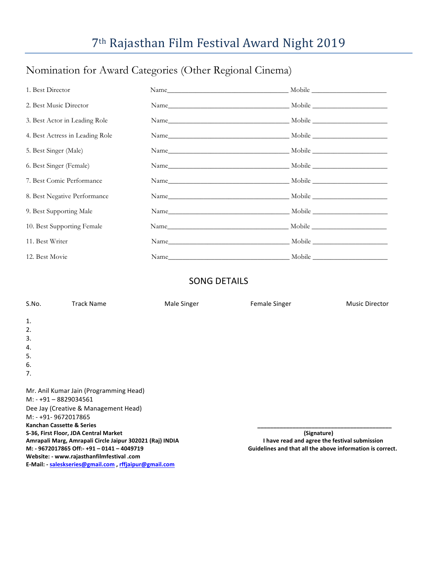# 7<sup>th</sup> Rajasthan Film Festival Award Night 2019

## Nomination for Award Categories (Other Regional Cinema)

| 1. Best Director                |                           |  |
|---------------------------------|---------------------------|--|
| 2. Best Music Director          |                           |  |
| 3. Best Actor in Leading Role   |                           |  |
| 4. Best Actress in Leading Role |                           |  |
| 5. Best Singer (Male)           |                           |  |
| 6. Best Singer (Female)         |                           |  |
| 7. Best Comic Performance       |                           |  |
| 8. Best Negative Performance    | Name Mobile Mobile Mobile |  |
| 9. Best Supporting Male         |                           |  |
| 10. Best Supporting Female      |                           |  |
| 11. Best Writer                 | Name Mobile Mobile        |  |
| 12. Best Movie                  |                           |  |

### SONG DETAILS

| S.No.                     | <b>Track Name</b>                                                                                         | Male Singer | <b>Female Singer</b>                                      | <b>Music Director</b> |
|---------------------------|-----------------------------------------------------------------------------------------------------------|-------------|-----------------------------------------------------------|-----------------------|
| 1.                        |                                                                                                           |             |                                                           |                       |
| 2.                        |                                                                                                           |             |                                                           |                       |
| 3.                        |                                                                                                           |             |                                                           |                       |
| 4.                        |                                                                                                           |             |                                                           |                       |
| 5.                        |                                                                                                           |             |                                                           |                       |
| 6.                        |                                                                                                           |             |                                                           |                       |
| 7.                        |                                                                                                           |             |                                                           |                       |
|                           |                                                                                                           |             |                                                           |                       |
|                           | Mr. Anil Kumar Jain (Programming Head)                                                                    |             |                                                           |                       |
| $M: -+91 - 8829034561$    |                                                                                                           |             |                                                           |                       |
|                           | Dee Jay (Creative & Management Head)                                                                      |             |                                                           |                       |
| M: - +91-9672017865       |                                                                                                           |             |                                                           |                       |
| Kanchan Cassette & Series |                                                                                                           |             |                                                           |                       |
|                           | S-36, First Floor, JDA Central Market                                                                     |             | (Signature)                                               |                       |
|                           | I have read and agree the festival submission<br>Amrapali Marg, Amrapali Circle Jaipur 302021 (Raj) INDIA |             |                                                           |                       |
|                           | M: - 9672017865 Off:- +91 - 0141 - 4049719                                                                |             | Guidelines and that all the above information is correct. |                       |
|                           | Website: - www.rajasthanfilmfestival .com                                                                 |             |                                                           |                       |
|                           | E-Mail: - saleskseries@gmail.com, rffjaipur@gmail.com                                                     |             |                                                           |                       |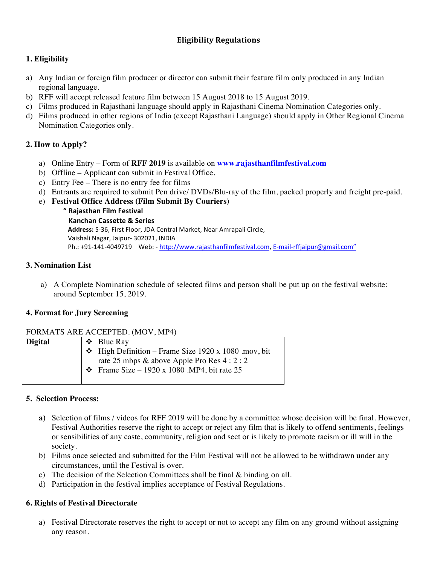#### **Eligibility Regulations**

#### **1. Eligibility**

- a) Any Indian or foreign film producer or director can submit their feature film only produced in any Indian regional language.
- b) RFF will accept released feature film between 15 August 2018 to 15 August 2019.
- c) Films produced in Rajasthani language should apply in Rajasthani Cinema Nomination Categories only.
- d) Films produced in other regions of India (except Rajasthani Language) should apply in Other Regional Cinema Nomination Categories only.

#### **2. How to Apply?**

- a) Online Entry Form of **RFF 2019** is available on **www.rajasthanfilmfestival.com**
- b) Offline Applicant can submit in Festival Office.
- c) Entry Fee There is no entry fee for films
- d) Entrants are required to submit Pen drive/ DVDs/Blu-ray of the film, packed properly and freight pre-paid.
- e) **Festival Office Address (Film Submit By Couriers)** 
	- **" Rajasthan Film Festival**

#### **Kanchan Cassette & Series**

Address: S-36, First Floor, JDA Central Market, Near Amrapali Circle, Vaishali Nagar, Jaipur- 302021, INDIA Ph.: +91-141-4049719 Web: - http://www.rajasthanfilmfestival.com, E-mail-rffjaipur@gmail.com"

#### **3. Nomination List**

a) A Complete Nomination schedule of selected films and person shall be put up on the festival website: around September 15, 2019.

#### **4. Format for Jury Screening**

#### FORMATS ARE ACCEPTED. (MOV, MP4)

| <b>Digital</b> | $\div$ Blue Ray                                           |
|----------------|-----------------------------------------------------------|
|                | $\div$ High Definition – Frame Size 1920 x 1080 .mov, bit |
|                | rate 25 mbps & above Apple Pro Res $4:2:2$                |
|                | $\div$ Frame Size – 1920 x 1080 .MP4, bit rate 25         |
|                |                                                           |

#### **5. Selection Process:**

- **a)** Selection of films / videos for RFF 2019 will be done by a committee whose decision will be final. However, Festival Authorities reserve the right to accept or reject any film that is likely to offend sentiments, feelings or sensibilities of any caste, community, religion and sect or is likely to promote racism or ill will in the society.
- b) Films once selected and submitted for the Film Festival will not be allowed to be withdrawn under any circumstances, until the Festival is over.
- c) The decision of the Selection Committees shall be final & binding on all.
- d) Participation in the festival implies acceptance of Festival Regulations.

#### **6. Rights of Festival Directorate**

a) Festival Directorate reserves the right to accept or not to accept any film on any ground without assigning any reason.